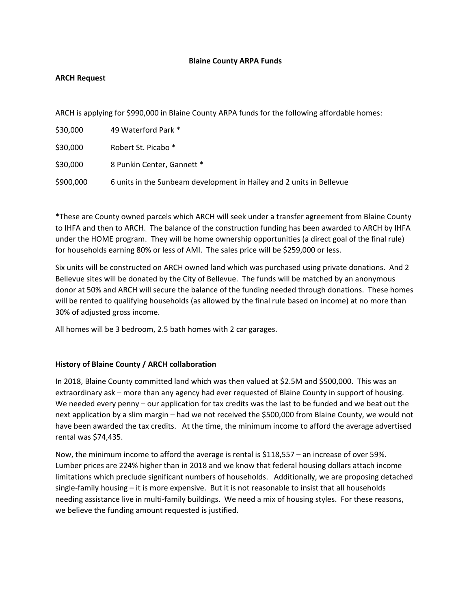#### **Blaine County ARPA Funds**

## **ARCH Request**

ARCH is applying for \$990,000 in Blaine County ARPA funds for the following affordable homes:

| \$30,000  | 49 Waterford Park *                                                  |
|-----------|----------------------------------------------------------------------|
| \$30,000  | Robert St. Picabo *                                                  |
| \$30,000  | 8 Punkin Center, Gannett *                                           |
| \$900,000 | 6 units in the Sunbeam development in Hailey and 2 units in Bellevue |

\*These are County owned parcels which ARCH will seek under a transfer agreement from Blaine County to IHFA and then to ARCH. The balance of the construction funding has been awarded to ARCH by IHFA under the HOME program. They will be home ownership opportunities (a direct goal of the final rule) for households earning 80% or less of AMI. The sales price will be \$259,000 or less.

Six units will be constructed on ARCH owned land which was purchased using private donations. And 2 Bellevue sites will be donated by the City of Bellevue. The funds will be matched by an anonymous donor at 50% and ARCH will secure the balance of the funding needed through donations. These homes will be rented to qualifying households (as allowed by the final rule based on income) at no more than 30% of adjusted gross income.

All homes will be 3 bedroom, 2.5 bath homes with 2 car garages.

#### **History of Blaine County / ARCH collaboration**

In 2018, Blaine County committed land which was then valued at \$2.5M and \$500,000. This was an extraordinary ask – more than any agency had ever requested of Blaine County in support of housing. We needed every penny – our application for tax credits was the last to be funded and we beat out the next application by a slim margin – had we not received the \$500,000 from Blaine County, we would not have been awarded the tax credits. At the time, the minimum income to afford the average advertised rental was \$74,435.

Now, the minimum income to afford the average is rental is \$118,557 – an increase of over 59%. Lumber prices are 224% higher than in 2018 and we know that federal housing dollars attach income limitations which preclude significant numbers of households. Additionally, we are proposing detached single-family housing – it is more expensive. But it is not reasonable to insist that all households needing assistance live in multi-family buildings. We need a mix of housing styles. For these reasons, we believe the funding amount requested is justified.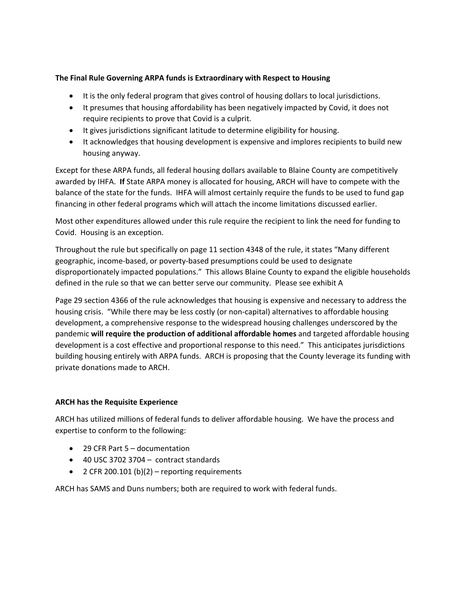## **The Final Rule Governing ARPA funds is Extraordinary with Respect to Housing**

- It is the only federal program that gives control of housing dollars to local jurisdictions.
- It presumes that housing affordability has been negatively impacted by Covid, it does not require recipients to prove that Covid is a culprit.
- It gives jurisdictions significant latitude to determine eligibility for housing.
- It acknowledges that housing development is expensive and implores recipients to build new housing anyway.

Except for these ARPA funds, all federal housing dollars available to Blaine County are competitively awarded by IHFA. **If** State ARPA money is allocated for housing, ARCH will have to compete with the balance of the state for the funds. IHFA will almost certainly require the funds to be used to fund gap financing in other federal programs which will attach the income limitations discussed earlier.

Most other expenditures allowed under this rule require the recipient to link the need for funding to Covid. Housing is an exception.

Throughout the rule but specifically on page 11 section 4348 of the rule, it states "Many different geographic, income-based, or poverty-based presumptions could be used to designate disproportionately impacted populations." This allows Blaine County to expand the eligible households defined in the rule so that we can better serve our community. Please see exhibit A

Page 29 section 4366 of the rule acknowledges that housing is expensive and necessary to address the housing crisis. "While there may be less costly (or non-capital) alternatives to affordable housing development, a comprehensive response to the widespread housing challenges underscored by the pandemic **will require the production of additional affordable homes** and targeted affordable housing development is a cost effective and proportional response to this need." This anticipates jurisdictions building housing entirely with ARPA funds. ARCH is proposing that the County leverage its funding with private donations made to ARCH.

#### **ARCH has the Requisite Experience**

ARCH has utilized millions of federal funds to deliver affordable housing. We have the process and expertise to conform to the following:

- 29 CFR Part 5 documentation
- 40 USC 3702 3704 contract standards
- 2 CFR 200.101 (b)(2) reporting requirements

ARCH has SAMS and Duns numbers; both are required to work with federal funds.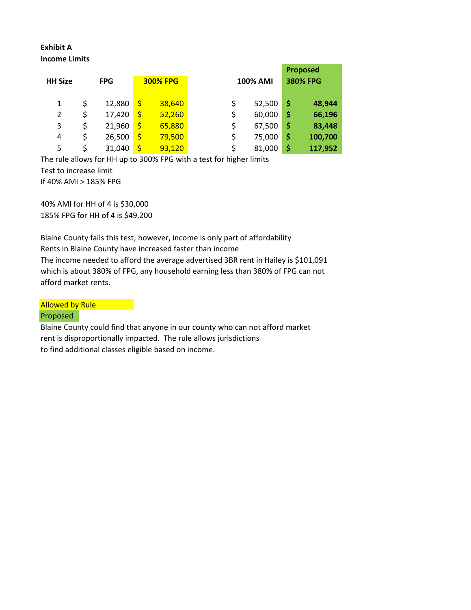# **Exhibit A Income Limits**

| <b>HH Size</b> | <b>FPG</b> |        | <b>300% FPG</b>    |        | <b>100% AMI</b> |        | <b>Proposed</b><br><b>380% FPG</b> |         |
|----------------|------------|--------|--------------------|--------|-----------------|--------|------------------------------------|---------|
| 1              | \$         | 12,880 | $\mathsf{\dot{S}}$ | 38,640 | \$              | 52,500 | \$                                 | 48,944  |
| 2              | \$         | 17,420 | $\mathsf{\dot{S}}$ | 52,260 | \$              | 60,000 | \$                                 | 66,196  |
| 3              | \$         | 21,960 | \$                 | 65,880 | \$              | 67,500 | \$                                 | 83,448  |
| 4              | \$         | 26,500 | \$                 | 79,500 | \$              | 75,000 | \$                                 | 100,700 |
| 5              | \$         | 31,040 | \$                 | 93,120 | \$              | 81,000 | \$                                 | 117,952 |

The rule allows for HH up to 300% FPG with a test for higher limits Test to increase limit If 40% AMI > 185% FPG

40% AMI for HH of 4 is \$30,000 185% FPG for HH of 4 is \$49,200

Blaine County fails this test; however, income is only part of affordability Rents in Blaine County have increased faster than income The income needed to afford the average advertised 3BR rent in Hailey is \$101,091 which is about 380% of FPG, any household earning less than 380% of FPG can not afford market rents.

Allowed by Rule

#### Proposed

Blaine County could find that anyone in our county who can not afford market rent is disproportionally impacted. The rule allows jurisdictions to find additional classes eligible based on income.